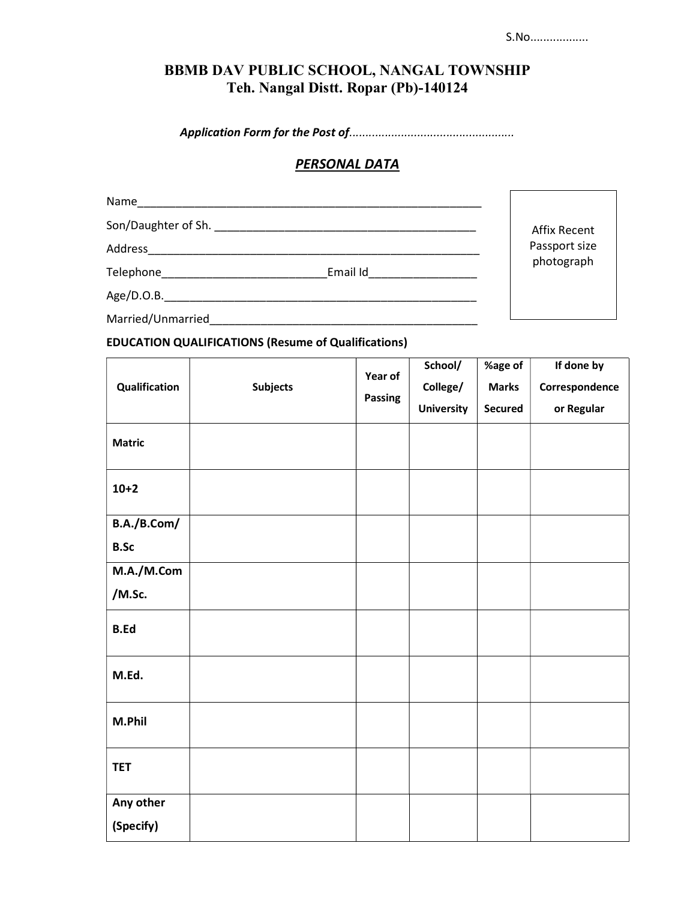## BBMB DAV PUBLIC SCHOOL, NANGAL TOWNSHIP Teh. Nangal Distt. Ropar (Pb)-140124

Application Form for the Post of...................................................

## **PERSONAL DATA**

| Name                |          |                     |
|---------------------|----------|---------------------|
|                     |          | <b>Affix Recent</b> |
| Address             |          | Passport size       |
| Telephone__________ | Email Id | photograph          |
|                     |          |                     |
| Married/Unmarried   |          |                     |

## EDUCATION QUALIFICATIONS (Resume of Qualifications)

| Qualification | <b>Subjects</b> | Year of<br>Passing | School/<br>College/<br><b>University</b> | %age of<br><b>Marks</b><br><b>Secured</b> | If done by<br>Correspondence<br>or Regular |
|---------------|-----------------|--------------------|------------------------------------------|-------------------------------------------|--------------------------------------------|
| <b>Matric</b> |                 |                    |                                          |                                           |                                            |
| $10+2$        |                 |                    |                                          |                                           |                                            |
| B.A./B.Com/   |                 |                    |                                          |                                           |                                            |
| <b>B.Sc</b>   |                 |                    |                                          |                                           |                                            |
| M.A./M.Com    |                 |                    |                                          |                                           |                                            |
| /M.Sc.        |                 |                    |                                          |                                           |                                            |
| <b>B.Ed</b>   |                 |                    |                                          |                                           |                                            |
| M.Ed.         |                 |                    |                                          |                                           |                                            |
| M.Phil        |                 |                    |                                          |                                           |                                            |
| <b>TET</b>    |                 |                    |                                          |                                           |                                            |
| Any other     |                 |                    |                                          |                                           |                                            |
| (Specify)     |                 |                    |                                          |                                           |                                            |